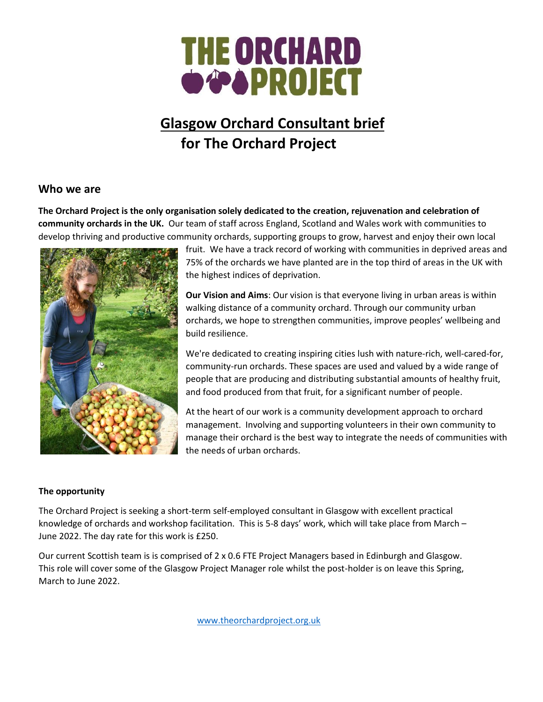

# **Glasgow Orchard Consultant brief for The Orchard Project**

# **Who we are**

**The Orchard Project is the only organisation solely dedicated to the creation, rejuvenation and celebration of community orchards in the UK.** Our team of staff across England, Scotland and Wales work with communities to develop thriving and productive community orchards, supporting groups to grow, harvest and enjoy their own local



fruit. We have a track record of working with communities in deprived areas and 75% of the orchards we have planted are in the top third of areas in the UK with the highest indices of deprivation.

**Our Vision and Aims**: Our vision is that everyone living in urban areas is within walking distance of a community orchard. Through our community urban orchards, we hope to strengthen communities, improve peoples' wellbeing and build resilience.

We're dedicated to creating inspiring cities lush with nature-rich, well-cared-for, community-run orchards. These spaces are used and valued by a wide range of people that are producing and distributing substantial amounts of healthy fruit, and food produced from that fruit, for a significant number of people.

At the heart of our work is a community development approach to orchard management. Involving and supporting volunteers in their own community to manage their orchard is the best way to integrate the needs of communities with the needs of urban orchards.

## **The opportunity**

The Orchard Project is seeking a short-term self-employed consultant in Glasgow with excellent practical knowledge of orchards and workshop facilitation. This is 5-8 days' work, which will take place from March – June 2022. The day rate for this work is £250.

Our current Scottish team is is comprised of 2 x 0.6 FTE Project Managers based in Edinburgh and Glasgow. This role will cover some of the Glasgow Project Manager role whilst the post-holder is on leave this Spring, March to June 2022.

[www.theorchardproject.org.uk](http://www.theorchardproject.org.uk/)